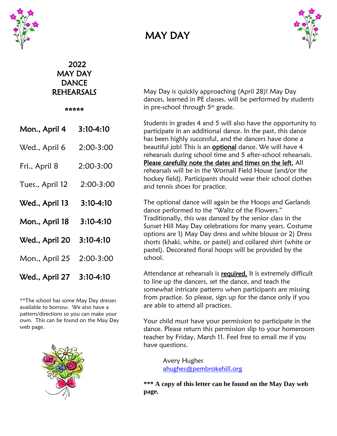

## MAY DAY



## 2022 MAY DAY **DANCE** REHEARSALS

\*\*\*\*\*

| Mon., April 4            | $3:10-4:10$ |
|--------------------------|-------------|
| Wed., April 6            | 2:00-3:00   |
| Fri., April 8            | 2:00-3:00   |
| Tues., April 12          | 2:00-3:00   |
| Wed., April 13           | 3:10-4:10   |
| Mon., April 18           | 3:10-4:10   |
| Wed., April 20           | 3:10-4:10   |
| Mon., April 25 2:00-3:00 |             |
| Wed., April 27           | 3:10-4:10   |

\*\*The school has some May Day dresses available to borrow. We also have a pattern/directions so you can make your own. This can be found on the May Day web page.



May Day is quickly approaching (April 28)! May Day dances, learned in PE classes, will be performed by students in pre-school through  $5<sup>th</sup>$  grade.

Students in grades 4 and 5 will also have the opportunity to participate in an additional dance. In the past, this dance has been highly successful, and the dancers have done a beautiful job! This is an optional dance. We will have 4 rehearsals during school time and 5 after-school rehearsals. Please carefully note the dates and times on the left. All rehearsals will be in the Wornall Field House (and/or the hockey field). Participants should wear their school clothes and tennis shoes for practice.

The optional dance will again be the Hoops and Garlands dance performed to the "Waltz of the Flowers." Traditionally, this was danced by the senior class in the Sunset Hill May Day celebrations for many years. Costume options are 1) May Day dress and white blouse or 2) Dress shorts (khaki, white, or pastel) and collared shirt (white or pastel). Decorated floral hoops will be provided by the school.

Attendance at rehearsals is required. It is extremely difficult to line up the dancers, set the dance, and teach the somewhat intricate patterns when participants are missing from practice. So please, sign up for the dance only if you are able to attend all practices.

Your child must have your permission to participate in the dance. Please return this permission slip to your homeroom teacher by Friday, March 11. Feel free to email me if you have questions.

> Avery Hughes [ahughes@pembrokehill.org](mailto:ahughes@pembrokehill.org)

**\*\*\* A copy of this letter can be found on the May Day web page.**